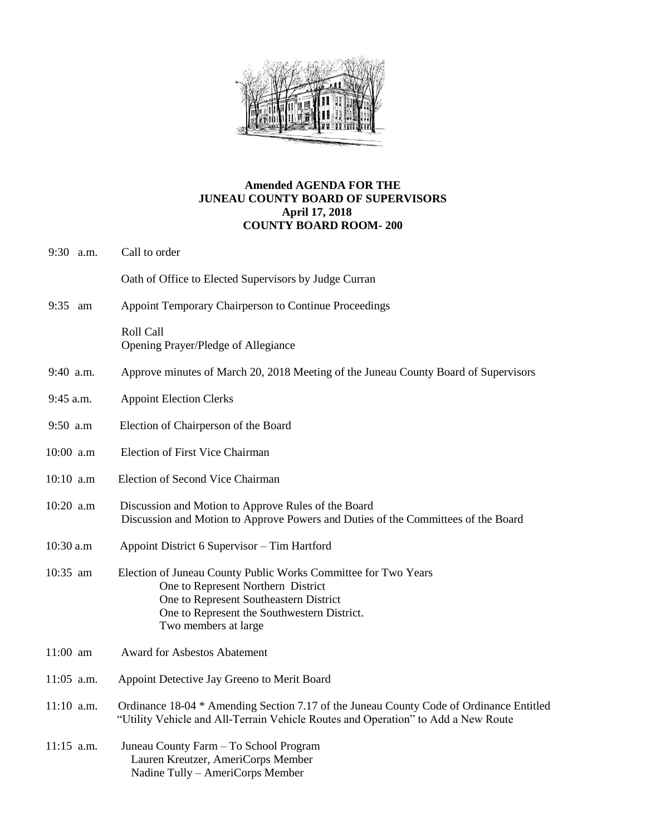

## **Amended AGENDA FOR THE JUNEAU COUNTY BOARD OF SUPERVISORS April 17, 2018 COUNTY BOARD ROOM- 200**

| 9:30 a.m.    | Call to order                                                                                                                                                                                                         |
|--------------|-----------------------------------------------------------------------------------------------------------------------------------------------------------------------------------------------------------------------|
|              | Oath of Office to Elected Supervisors by Judge Curran                                                                                                                                                                 |
| 9:35<br>am   | Appoint Temporary Chairperson to Continue Proceedings                                                                                                                                                                 |
|              | Roll Call<br>Opening Prayer/Pledge of Allegiance                                                                                                                                                                      |
| 9:40 a.m.    | Approve minutes of March 20, 2018 Meeting of the Juneau County Board of Supervisors                                                                                                                                   |
| 9:45 a.m.    | <b>Appoint Election Clerks</b>                                                                                                                                                                                        |
| 9:50 a.m     | Election of Chairperson of the Board                                                                                                                                                                                  |
| 10:00 a.m    | <b>Election of First Vice Chairman</b>                                                                                                                                                                                |
| 10:10 a.m    | Election of Second Vice Chairman                                                                                                                                                                                      |
| 10:20 a.m    | Discussion and Motion to Approve Rules of the Board<br>Discussion and Motion to Approve Powers and Duties of the Committees of the Board                                                                              |
| 10:30 a.m    | Appoint District 6 Supervisor - Tim Hartford                                                                                                                                                                          |
| 10:35 am     | Election of Juneau County Public Works Committee for Two Years<br>One to Represent Northern District<br>One to Represent Southeastern District<br>One to Represent the Southwestern District.<br>Two members at large |
| $11:00$ am   | <b>Award for Asbestos Abatement</b>                                                                                                                                                                                   |
| $11:05$ a.m. | Appoint Detective Jay Greeno to Merit Board                                                                                                                                                                           |
| $11:10$ a.m. | Ordinance 18-04 * Amending Section 7.17 of the Juneau County Code of Ordinance Entitled<br>"Utility Vehicle and All-Terrain Vehicle Routes and Operation" to Add a New Route                                          |
| $11:15$ a.m. | Juneau County Farm - To School Program<br>Lauren Kreutzer, AmeriCorps Member<br>Nadine Tully – AmeriCorps Member                                                                                                      |